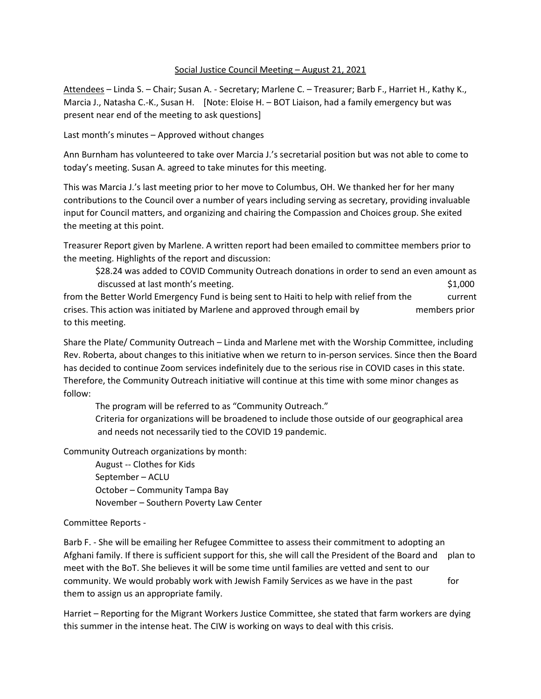## Social Justice Council Meeting – August 21, 2021

Attendees – Linda S. – Chair; Susan A. - Secretary; Marlene C. – Treasurer; Barb F., Harriet H., Kathy K., Marcia J., Natasha C.-K., Susan H. [Note: Eloise H. – BOT Liaison, had a family emergency but was present near end of the meeting to ask questions]

Last month's minutes – Approved without changes

Ann Burnham has volunteered to take over Marcia J.'s secretarial position but was not able to come to today's meeting. Susan A. agreed to take minutes for this meeting.

This was Marcia J.'s last meeting prior to her move to Columbus, OH. We thanked her for her many contributions to the Council over a number of years including serving as secretary, providing invaluable input for Council matters, and organizing and chairing the Compassion and Choices group. She exited the meeting at this point.

Treasurer Report given by Marlene. A written report had been emailed to committee members prior to the meeting. Highlights of the report and discussion:

\$28.24 was added to COVID Community Outreach donations in order to send an even amount as discussed at last month's meeting. The state of the state of the state of the state of the state of the state of the state of the state of the state of the state of the state of the state of the state of the state of the s from the Better World Emergency Fund is being sent to Haiti to help with relief from the current crises. This action was initiated by Marlene and approved through email by members prior to this meeting.

Share the Plate/ Community Outreach – Linda and Marlene met with the Worship Committee, including Rev. Roberta, about changes to this initiative when we return to in-person services. Since then the Board has decided to continue Zoom services indefinitely due to the serious rise in COVID cases in this state. Therefore, the Community Outreach initiative will continue at this time with some minor changes as follow:

The program will be referred to as "Community Outreach."

Criteria for organizations will be broadened to include those outside of our geographical area and needs not necessarily tied to the COVID 19 pandemic.

Community Outreach organizations by month:

August -- Clothes for Kids September – ACLU October – Community Tampa Bay November – Southern Poverty Law Center

## Committee Reports -

Barb F. - She will be emailing her Refugee Committee to assess their commitment to adopting an Afghani family. If there is sufficient support for this, she will call the President of the Board and plan to meet with the BoT. She believes it will be some time until families are vetted and sent to our community. We would probably work with Jewish Family Services as we have in the past for them to assign us an appropriate family.

Harriet – Reporting for the Migrant Workers Justice Committee, she stated that farm workers are dying this summer in the intense heat. The CIW is working on ways to deal with this crisis.